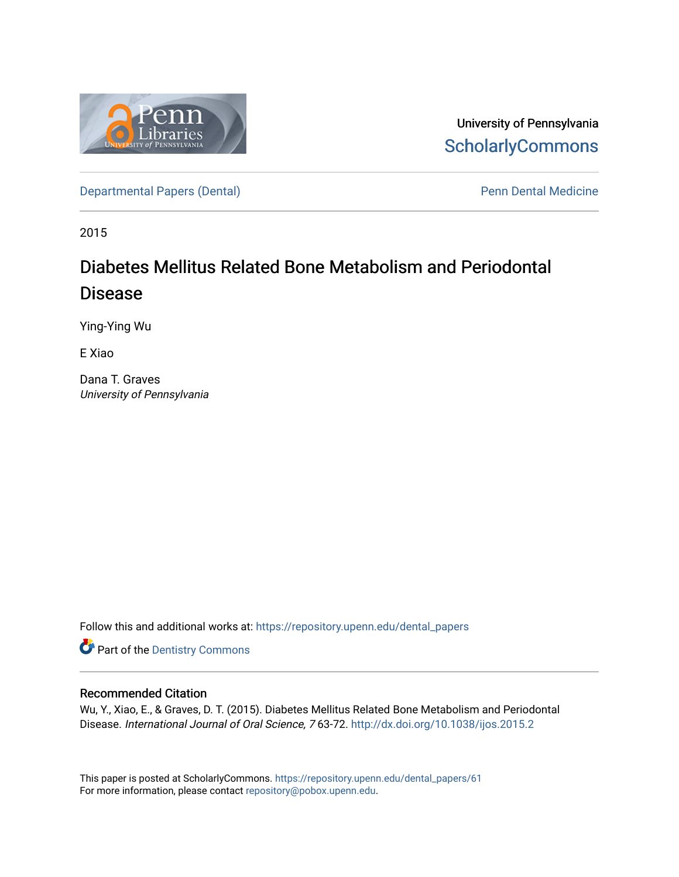

University of Pennsylvania **ScholarlyCommons** 

[Departmental Papers \(Dental\)](https://repository.upenn.edu/dental_papers) and Europe and Penn Dental Medicine

2015

# Diabetes Mellitus Related Bone Metabolism and Periodontal Disease

Ying-Ying Wu

E Xiao

Dana T. Graves University of Pennsylvania

Follow this and additional works at: [https://repository.upenn.edu/dental\\_papers](https://repository.upenn.edu/dental_papers?utm_source=repository.upenn.edu%2Fdental_papers%2F61&utm_medium=PDF&utm_campaign=PDFCoverPages)

**Part of the Dentistry Commons** 

## Recommended Citation

Wu, Y., Xiao, E., & Graves, D. T. (2015). Diabetes Mellitus Related Bone Metabolism and Periodontal Disease. International Journal of Oral Science, 7 63-72. <http://dx.doi.org/10.1038/ijos.2015.2>

This paper is posted at ScholarlyCommons. [https://repository.upenn.edu/dental\\_papers/61](https://repository.upenn.edu/dental_papers/61)  For more information, please contact [repository@pobox.upenn.edu.](mailto:repository@pobox.upenn.edu)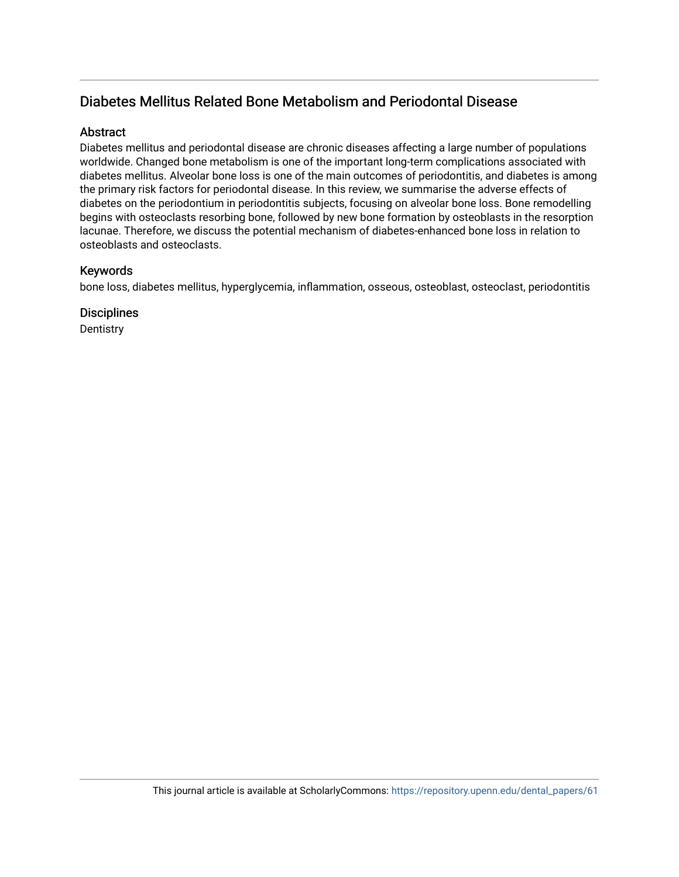## Diabetes Mellitus Related Bone Metabolism and Periodontal Disease

## **Abstract**

Diabetes mellitus and periodontal disease are chronic diseases affecting a large number of populations worldwide. Changed bone metabolism is one of the important long-term complications associated with diabetes mellitus. Alveolar bone loss is one of the main outcomes of periodontitis, and diabetes is among the primary risk factors for periodontal disease. In this review, we summarise the adverse effects of diabetes on the periodontium in periodontitis subjects, focusing on alveolar bone loss. Bone remodelling begins with osteoclasts resorbing bone, followed by new bone formation by osteoblasts in the resorption lacunae. Therefore, we discuss the potential mechanism of diabetes-enhanced bone loss in relation to osteoblasts and osteoclasts.

## Keywords

bone loss, diabetes mellitus, hyperglycemia, inflammation, osseous, osteoblast, osteoclast, periodontitis

**Disciplines** 

**Dentistry**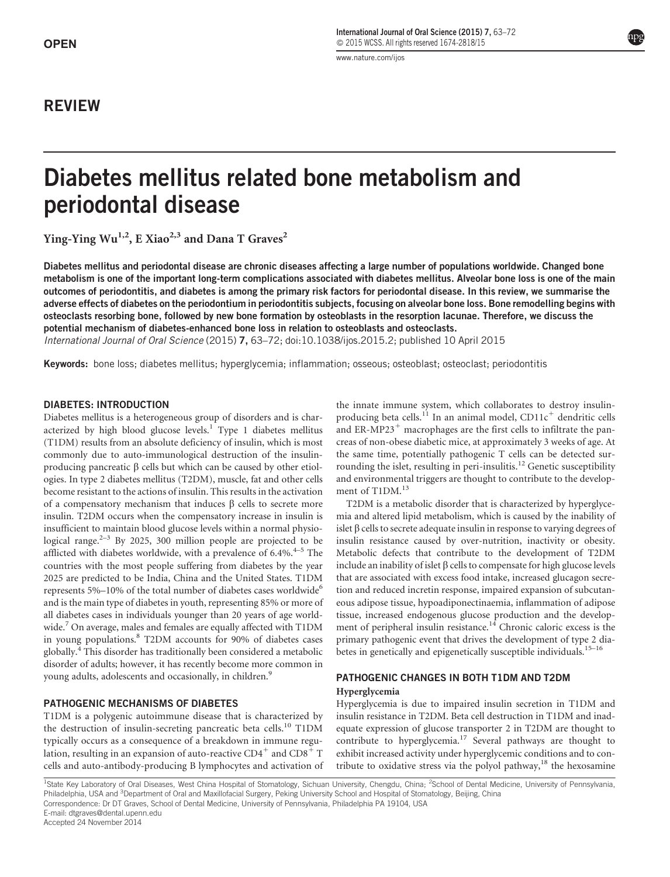## REVIEW

<www.nature.com/ijos>

# Diabetes mellitus related bone metabolism and periodontal disease

Ying-Ying  $Wu^{1,2}$ , E Xiao<sup>2,3</sup> and Dana T Graves<sup>2</sup>

Diabetes mellitus and periodontal disease are chronic diseases affecting a large number of populations worldwide. Changed bone metabolism is one of the important long-term complications associated with diabetes mellitus. Alveolar bone loss is one of the main outcomes of periodontitis, and diabetes is among the primary risk factors for periodontal disease. In this review, we summarise the adverse effects of diabetes on the periodontium in periodontitis subjects, focusing on alveolar bone loss. Bone remodelling begins with osteoclasts resorbing bone, followed by new bone formation by osteoblasts in the resorption lacunae. Therefore, we discuss the potential mechanism of diabetes-enhanced bone loss in relation to osteoblasts and osteoclasts.

International Journal of Oral Science (2015) 7, 63–72; doi:10.1038/ijos.2015.2; published 10 April 2015

Keywords: bone loss; diabetes mellitus; hyperglycemia; inflammation; osseous; osteoblast; osteoclast; periodontitis

#### DIABETES: INTRODUCTION

Diabetes mellitus is a heterogeneous group of disorders and is characterized by high blood glucose levels.<sup>1</sup> Type 1 diabetes mellitus (T1DM) results from an absolute deficiency of insulin, which is most commonly due to auto-immunological destruction of the insulinproducing pancreatic  $\beta$  cells but which can be caused by other etiologies. In type 2 diabetes mellitus (T2DM), muscle, fat and other cells become resistant to the actions of insulin. This results in the activation of a compensatory mechanism that induces  $\beta$  cells to secrete more insulin. T2DM occurs when the compensatory increase in insulin is insufficient to maintain blood glucose levels within a normal physiological range. $2-3$  By 2025, 300 million people are projected to be afflicted with diabetes worldwide, with a prevalence of  $6.4\%$ .<sup>4-5</sup> The countries with the most people suffering from diabetes by the year 2025 are predicted to be India, China and the United States. T1DM represents  $5\%$ –10% of the total number of diabetes cases worldwide<sup>6</sup> and is the main type of diabetes in youth, representing 85% or more of all diabetes cases in individuals younger than 20 years of age worldwide.<sup>7</sup> On average, males and females are equally affected with T1DM in young populations.<sup>8</sup> T2DM accounts for 90% of diabetes cases globally.<sup>4</sup> This disorder has traditionally been considered a metabolic disorder of adults; however, it has recently become more common in young adults, adolescents and occasionally, in children.<sup>9</sup>

#### PATHOGENIC MECHANISMS OF DIABETES

T1DM is a polygenic autoimmune disease that is characterized by the destruction of insulin-secreting pancreatic beta cells.<sup>10</sup> T1DM typically occurs as a consequence of a breakdown in immune regulation, resulting in an expansion of auto-reactive  $CD4^+$  and  $CD8^+$  T cells and auto-antibody-producing B lymphocytes and activation of the innate immune system, which collaborates to destroy insulinproducing beta cells.<sup>11</sup> In an animal model, CD11 $c^+$  dendritic cells and ER-MP23<sup>+</sup> macrophages are the first cells to infiltrate the pancreas of non-obese diabetic mice, at approximately 3 weeks of age. At the same time, potentially pathogenic T cells can be detected surrounding the islet, resulting in peri-insulitis.<sup>12</sup> Genetic susceptibility and environmental triggers are thought to contribute to the development of T1DM.<sup>13</sup>

T2DM is a metabolic disorder that is characterized by hyperglycemia and altered lipid metabolism, which is caused by the inability of islet  $\beta$  cells to secrete adequate insulin in response to varying degrees of insulin resistance caused by over-nutrition, inactivity or obesity. Metabolic defects that contribute to the development of T2DM include an inability of islet  $\beta$  cells to compensate for high glucose levels that are associated with excess food intake, increased glucagon secretion and reduced incretin response, impaired expansion of subcutaneous adipose tissue, hypoadiponectinaemia, inflammation of adipose tissue, increased endogenous glucose production and the development of peripheral insulin resistance.<sup>14</sup> Chronic caloric excess is the primary pathogenic event that drives the development of type 2 diabetes in genetically and epigenetically susceptible individuals.<sup>15-16</sup>

## PATHOGENIC CHANGES IN BOTH T1DM AND T2DM

Hyperglycemia

Hyperglycemia is due to impaired insulin secretion in T1DM and insulin resistance in T2DM. Beta cell destruction in T1DM and inadequate expression of glucose transporter 2 in T2DM are thought to contribute to hyperglycemia.<sup>17</sup> Several pathways are thought to exhibit increased activity under hyperglycemic conditions and to contribute to oxidative stress via the polyol pathway,<sup>18</sup> the hexosamine

<sup>1</sup>State Key Laboratory of Oral Diseases, West China Hospital of Stomatology, Sichuan University, Chengdu, China; <sup>2</sup>School of Dental Medicine, University of Pennsylvania, Philadelphia, USA and <sup>3</sup>Department of Oral and Maxillofacial Surgery, Peking University School and Hospital of Stomatology, Beijing, China Correspondence: Dr DT Graves, School of Dental Medicine, University of Pennsylvania, Philadelphia PA 19104, USA E-mail: dtgraves@dental.upenn.edu

Accepted 24 November 2014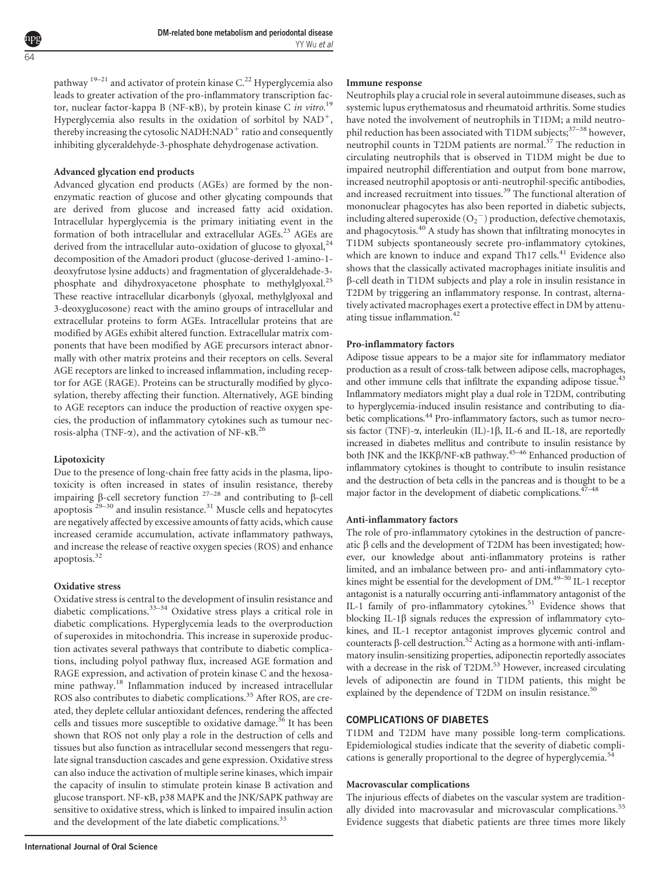pathway  $19-21$  and activator of protein kinase C.<sup>22</sup> Hyperglycemia also leads to greater activation of the pro-inflammatory transcription factor, nuclear factor-kappa B (NF-KB), by protein kinase C in vitro.<sup>19</sup> Hyperglycemia also results in the oxidation of sorbitol by  $NAD^+$ , thereby increasing the cytosolic NADH:NAD<sup>+</sup> ratio and consequently inhibiting glyceraldehyde-3-phosphate dehydrogenase activation.

#### Advanced glycation end products

Advanced glycation end products (AGEs) are formed by the nonenzymatic reaction of glucose and other glycating compounds that are derived from glucose and increased fatty acid oxidation. Intracellular hyperglycemia is the primary initiating event in the formation of both intracellular and extracellular AGEs.<sup>23</sup> AGEs are derived from the intracellular auto-oxidation of glucose to glyoxal,<sup>24</sup> decomposition of the Amadori product (glucose-derived 1-amino-1 deoxyfrutose lysine adducts) and fragmentation of glyceraldehade-3 phosphate and dihydroxyacetone phosphate to methylglyoxal.<sup>25</sup> These reactive intracellular dicarbonyls (glyoxal, methylglyoxal and 3-deoxyglucosone) react with the amino groups of intracellular and extracellular proteins to form AGEs. Intracellular proteins that are modified by AGEs exhibit altered function. Extracellular matrix components that have been modified by AGE precursors interact abnormally with other matrix proteins and their receptors on cells. Several AGE receptors are linked to increased inflammation, including receptor for AGE (RAGE). Proteins can be structurally modified by glycosylation, thereby affecting their function. Alternatively, AGE binding to AGE receptors can induce the production of reactive oxygen species, the production of inflammatory cytokines such as tumour necrosis-alpha (TNF- $\alpha$ ), and the activation of NF- $\kappa$ B.<sup>26</sup>

#### Lipotoxicity

Due to the presence of long-chain free fatty acids in the plasma, lipotoxicity is often increased in states of insulin resistance, thereby impairing  $\beta$ -cell secretory function  $27-28$  and contributing to  $\beta$ -cell apoptosis  $29-30$  and insulin resistance.<sup>31</sup> Muscle cells and hepatocytes are negatively affected by excessive amounts of fatty acids, which cause increased ceramide accumulation, activate inflammatory pathways, and increase the release of reactive oxygen species (ROS) and enhance apoptosis.<sup>32</sup>

#### Oxidative stress

Oxidative stress is central to the development of insulin resistance and diabetic complications.33–34 Oxidative stress plays a critical role in diabetic complications. Hyperglycemia leads to the overproduction of superoxides in mitochondria. This increase in superoxide production activates several pathways that contribute to diabetic complications, including polyol pathway flux, increased AGE formation and RAGE expression, and activation of protein kinase C and the hexosamine pathway.<sup>18</sup> Inflammation induced by increased intracellular ROS also contributes to diabetic complications.<sup>35</sup> After ROS, are created, they deplete cellular antioxidant defences, rendering the affected cells and tissues more susceptible to oxidative damage.<sup>36</sup> It has been shown that ROS not only play a role in the destruction of cells and tissues but also function as intracellular second messengers that regulate signal transduction cascades and gene expression. Oxidative stress can also induce the activation of multiple serine kinases, which impair the capacity of insulin to stimulate protein kinase B activation and glucose transport. NF-kB, p38 MAPK and the JNK/SAPK pathway are sensitive to oxidative stress, which is linked to impaired insulin action and the development of the late diabetic complications.<sup>33</sup>

Neutrophils play a crucial role in several autoimmune diseases, such as systemic lupus erythematosus and rheumatoid arthritis. Some studies have noted the involvement of neutrophils in T1DM; a mild neutrophil reduction has been associated with T1DM subjects;<sup>37–38</sup> however, neutrophil counts in T2DM patients are normal. $37$  The reduction in circulating neutrophils that is observed in T1DM might be due to impaired neutrophil differentiation and output from bone marrow, increased neutrophil apoptosis or anti-neutrophil-specific antibodies, and increased recruitment into tissues.<sup>39</sup> The functional alteration of mononuclear phagocytes has also been reported in diabetic subjects, including altered superoxide  $\left( \mathrm{O_2}^- \right)$  production, defective chemotaxis, and phagocytosis.<sup>40</sup> A study has shown that infiltrating monocytes in T1DM subjects spontaneously secrete pro-inflammatory cytokines, which are known to induce and expand Th17 cells.<sup>41</sup> Evidence also shows that the classically activated macrophages initiate insulitis and b-cell death in T1DM subjects and play a role in insulin resistance in T2DM by triggering an inflammatory response. In contrast, alternatively activated macrophages exert a protective effect in DM by attenuating tissue inflammation.<sup>42</sup>

#### Pro-inflammatory factors

Adipose tissue appears to be a major site for inflammatory mediator production as a result of cross-talk between adipose cells, macrophages, and other immune cells that infiltrate the expanding adipose tissue.<sup>43</sup> Inflammatory mediators might play a dual role in T2DM, contributing to hyperglycemia-induced insulin resistance and contributing to diabetic complications.<sup>44</sup> Pro-inflammatory factors, such as tumor necrosis factor (TNF)- $\alpha$ , interleukin (IL)-1 $\beta$ , IL-6 and IL-18, are reportedly increased in diabetes mellitus and contribute to insulin resistance by both JNK and the IKK $\beta$ /NF- $\kappa$ B pathway.<sup>45–46</sup> Enhanced production of inflammatory cytokines is thought to contribute to insulin resistance and the destruction of beta cells in the pancreas and is thought to be a major factor in the development of diabetic complications.  $47-48$ 

#### Anti-inflammatory factors

The role of pro-inflammatory cytokines in the destruction of pancreatic  $\beta$  cells and the development of T2DM has been investigated; however, our knowledge about anti-inflammatory proteins is rather limited, and an imbalance between pro- and anti-inflammatory cytokines might be essential for the development of DM.<sup>49-50</sup> IL-1 receptor antagonist is a naturally occurring anti-inflammatory antagonist of the IL-1 family of pro-inflammatory cytokines.<sup>51</sup> Evidence shows that blocking IL-1 $\beta$  signals reduces the expression of inflammatory cytokines, and IL-1 receptor antagonist improves glycemic control and counteracts  $\beta$ -cell destruction.<sup>52</sup> Acting as a hormone with anti-inflammatory insulin-sensitizing properties, adiponectin reportedly associates with a decrease in the risk of T2DM.<sup>53</sup> However, increased circulating levels of adiponectin are found in T1DM patients, this might be explained by the dependence of T2DM on insulin resistance.<sup>50</sup>

#### COMPLICATIONS OF DIABETES

T1DM and T2DM have many possible long-term complications. Epidemiological studies indicate that the severity of diabetic complications is generally proportional to the degree of hyperglycemia.<sup>5</sup>

#### Macrovascular complications

The injurious effects of diabetes on the vascular system are traditionally divided into macrovasular and microvascular complications.<sup>55</sup> Evidence suggests that diabetic patients are three times more likely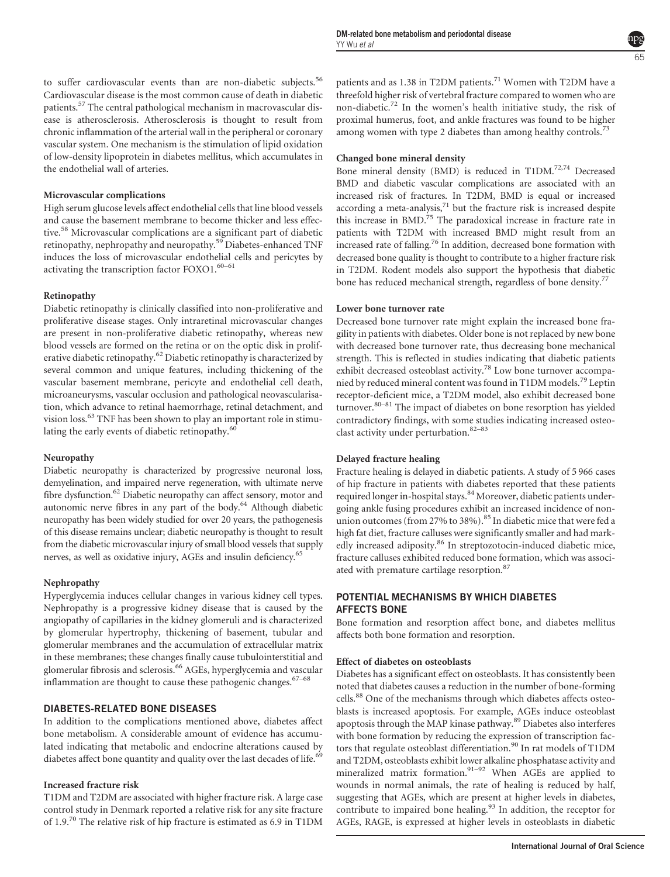to suffer cardiovascular events than are non-diabetic subjects.<sup>56</sup> Cardiovascular disease is the most common cause of death in diabetic patients.<sup>57</sup> The central pathological mechanism in macrovascular disease is atherosclerosis. Atherosclerosis is thought to result from chronic inflammation of the arterial wall in the peripheral or coronary vascular system. One mechanism is the stimulation of lipid oxidation of low-density lipoprotein in diabetes mellitus, which accumulates in the endothelial wall of arteries.

### Microvascular complications

High serum glucose levels affect endothelial cells that line blood vessels and cause the basement membrane to become thicker and less effective.<sup>58</sup> Microvascular complications are a significant part of diabetic retinopathy, nephropathy and neuropathy.<sup>59</sup> Diabetes-enhanced TNF induces the loss of microvascular endothelial cells and pericytes by activating the transcription factor FOXO1.<sup>60–61</sup>

### Retinopathy

Diabetic retinopathy is clinically classified into non-proliferative and proliferative disease stages. Only intraretinal microvascular changes are present in non-proliferative diabetic retinopathy, whereas new blood vessels are formed on the retina or on the optic disk in proliferative diabetic retinopathy.<sup>62</sup> Diabetic retinopathy is characterized by several common and unique features, including thickening of the vascular basement membrane, pericyte and endothelial cell death, microaneurysms, vascular occlusion and pathological neovascularisation, which advance to retinal haemorrhage, retinal detachment, and vision loss.<sup>63</sup> TNF has been shown to play an important role in stimulating the early events of diabetic retinopathy.<sup>60</sup>

## Neuropathy

Diabetic neuropathy is characterized by progressive neuronal loss, demyelination, and impaired nerve regeneration, with ultimate nerve fibre dysfunction.<sup>62</sup> Diabetic neuropathy can affect sensory, motor and autonomic nerve fibres in any part of the body.64 Although diabetic neuropathy has been widely studied for over 20 years, the pathogenesis of this disease remains unclear; diabetic neuropathy is thought to result from the diabetic microvascular injury of small blood vessels that supply nerves, as well as oxidative injury, AGEs and insulin deficiency.<sup>65</sup>

## Nephropathy

Hyperglycemia induces cellular changes in various kidney cell types. Nephropathy is a progressive kidney disease that is caused by the angiopathy of capillaries in the kidney glomeruli and is characterized by glomerular hypertrophy, thickening of basement, tubular and glomerular membranes and the accumulation of extracellular matrix in these membranes; these changes finally cause tubulointerstitial and glomerular fibrosis and sclerosis.<sup>66</sup> AGEs, hyperglycemia and vascular inflammation are thought to cause these pathogenic changes. $67-68$ 

## DIABETES-RELATED BONE DISEASES

In addition to the complications mentioned above, diabetes affect bone metabolism. A considerable amount of evidence has accumulated indicating that metabolic and endocrine alterations caused by diabetes affect bone quantity and quality over the last decades of life.<sup>69</sup>

## Increased fracture risk

T1DM and T2DM are associated with higher fracture risk. A large case control study in Denmark reported a relative risk for any site fracture of 1.9.70 The relative risk of hip fracture is estimated as 6.9 in T1DM

patients and as 1.38 in T2DM patients.<sup>71</sup> Women with T2DM have a threefold higher risk of vertebral fracture compared to women who are non-diabetic.<sup>72</sup> In the women's health initiative study, the risk of proximal humerus, foot, and ankle fractures was found to be higher among women with type 2 diabetes than among healthy controls.<sup>73</sup>

#### Changed bone mineral density

Bone mineral density (BMD) is reduced in T1DM.72,74 Decreased BMD and diabetic vascular complications are associated with an increased risk of fractures. In T2DM, BMD is equal or increased according a meta-analysis, $71$  but the fracture risk is increased despite this increase in BMD.<sup>75</sup> The paradoxical increase in fracture rate in patients with T2DM with increased BMD might result from an increased rate of falling.<sup>76</sup> In addition, decreased bone formation with decreased bone quality is thought to contribute to a higher fracture risk in T2DM. Rodent models also support the hypothesis that diabetic bone has reduced mechanical strength, regardless of bone density.<sup>77</sup>

#### Lower bone turnover rate

Decreased bone turnover rate might explain the increased bone fragility in patients with diabetes. Older bone is not replaced by new bone with decreased bone turnover rate, thus decreasing bone mechanical strength. This is reflected in studies indicating that diabetic patients exhibit decreased osteoblast activity.<sup>78</sup> Low bone turnover accompanied by reduced mineral content was found in T1DM models.<sup>79</sup> Leptin receptor-deficient mice, a T2DM model, also exhibit decreased bone turnover.80–81 The impact of diabetes on bone resorption has yielded contradictory findings, with some studies indicating increased osteoclast activity under perturbation.<sup>82-83</sup>

#### Delayed fracture healing

Fracture healing is delayed in diabetic patients. A study of 5 966 cases of hip fracture in patients with diabetes reported that these patients required longer in-hospital stays.<sup>84</sup> Moreover, diabetic patients undergoing ankle fusing procedures exhibit an increased incidence of nonunion outcomes (from 27% to 38%).<sup>85</sup> In diabetic mice that were fed a high fat diet, fracture calluses were significantly smaller and had markedly increased adiposity.<sup>86</sup> In streptozotocin-induced diabetic mice, fracture calluses exhibited reduced bone formation, which was associated with premature cartilage resorption.<sup>87</sup>

#### POTENTIAL MECHANISMS BY WHICH DIABETES AFFECTS BONE

Bone formation and resorption affect bone, and diabetes mellitus affects both bone formation and resorption.

## Effect of diabetes on osteoblasts

Diabetes has a significant effect on osteoblasts. It has consistently been noted that diabetes causes a reduction in the number of bone-forming cells.<sup>88</sup> One of the mechanisms through which diabetes affects osteoblasts is increased apoptosis. For example, AGEs induce osteoblast apoptosis through the MAP kinase pathway.89 Diabetes also interferes with bone formation by reducing the expression of transcription factors that regulate osteoblast differentiation.<sup>90</sup> In rat models of T1DM and T2DM, osteoblasts exhibit lower alkaline phosphatase activity and mineralized matrix formation.<sup>91–92</sup> When AGEs are applied to wounds in normal animals, the rate of healing is reduced by half, suggesting that AGEs, which are present at higher levels in diabetes, contribute to impaired bone healing. $93$  In addition, the receptor for AGEs, RAGE, is expressed at higher levels in osteoblasts in diabetic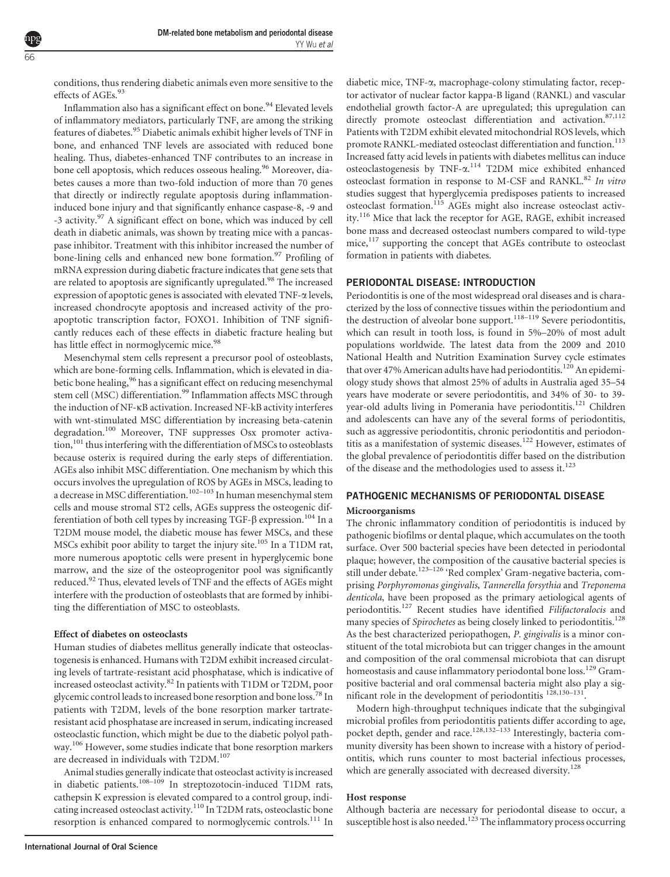conditions, thus rendering diabetic animals even more sensitive to the effects of AGEs.<sup>93</sup>

66

Inflammation also has a significant effect on bone.<sup>94</sup> Elevated levels of inflammatory mediators, particularly TNF, are among the striking features of diabetes.<sup>95</sup> Diabetic animals exhibit higher levels of TNF in bone, and enhanced TNF levels are associated with reduced bone healing. Thus, diabetes-enhanced TNF contributes to an increase in bone cell apoptosis, which reduces osseous healing.<sup>96</sup> Moreover, diabetes causes a more than two-fold induction of more than 70 genes that directly or indirectly regulate apoptosis during inflammationinduced bone injury and that significantly enhance caspase-8, -9 and -3 activity.<sup>97</sup> A significant effect on bone, which was induced by cell death in diabetic animals, was shown by treating mice with a pancaspase inhibitor. Treatment with this inhibitor increased the number of bone-lining cells and enhanced new bone formation.<sup>97</sup> Profiling of mRNA expression during diabetic fracture indicates that gene sets that are related to apoptosis are significantly upregulated.<sup>98</sup> The increased expression of apoptotic genes is associated with elevated TNF-a levels, increased chondrocyte apoptosis and increased activity of the proapoptotic transcription factor, FOXO1. Inhibition of TNF significantly reduces each of these effects in diabetic fracture healing but has little effect in normoglycemic mice.<sup>98</sup>

Mesenchymal stem cells represent a precursor pool of osteoblasts, which are bone-forming cells. Inflammation, which is elevated in diabetic bone healing,<sup>96</sup> has a significant effect on reducing mesenchymal stem cell (MSC) differentiation.<sup>99</sup> Inflammation affects MSC through the induction of NF-kB activation. Increased NF-kB activity interferes with wnt-stimulated MSC differentiation by increasing beta-catenin degradation.<sup>100</sup> Moreover, TNF suppresses Osx promoter activation,<sup>101</sup> thus interfering with the differentiation of MSCs to osteoblasts because osterix is required during the early steps of differentiation. AGEs also inhibit MSC differentiation. One mechanism by which this occurs involves the upregulation of ROS by AGEs in MSCs, leading to a decrease in MSC differentiation.<sup>102–103</sup> In human mesenchymal stem cells and mouse stromal ST2 cells, AGEs suppress the osteogenic differentiation of both cell types by increasing TGF- $\beta$  expression.<sup>104</sup> In a T2DM mouse model, the diabetic mouse has fewer MSCs, and these MSCs exhibit poor ability to target the injury site.<sup>105</sup> In a T1DM rat, more numerous apoptotic cells were present in hyperglycemic bone marrow, and the size of the osteoprogenitor pool was significantly reduced.92 Thus, elevated levels of TNF and the effects of AGEs might interfere with the production of osteoblasts that are formed by inhibiting the differentiation of MSC to osteoblasts.

#### Effect of diabetes on osteoclasts

Human studies of diabetes mellitus generally indicate that osteoclastogenesis is enhanced. Humans with T2DM exhibit increased circulating levels of tartrate-resistant acid phosphatase, which is indicative of increased osteoclast activity.<sup>82</sup> In patients with T1DM or T2DM, poor glycemic control leads to increased bone resorption and bone loss.<sup>78</sup> In patients with T2DM, levels of the bone resorption marker tartrateresistant acid phosphatase are increased in serum, indicating increased osteoclastic function, which might be due to the diabetic polyol pathway.<sup>106</sup> However, some studies indicate that bone resorption markers are decreased in individuals with  $\mathrm{T2DM}^{107}$ 

Animal studies generally indicate that osteoclast activity is increased in diabetic patients.<sup>108–109</sup> In streptozotocin-induced T1DM rats, cathepsin K expression is elevated compared to a control group, indicating increased osteoclast activity.<sup>110</sup> In T2DM rats, osteoclastic bone resorption is enhanced compared to normoglycemic controls.<sup>111</sup> In

diabetic mice, TNF-a, macrophage-colony stimulating factor, receptor activator of nuclear factor kappa-B ligand (RANKL) and vascular endothelial growth factor-A are upregulated; this upregulation can directly promote osteoclast differentiation and activation. 87,112 Patients with T2DM exhibit elevated mitochondrial ROS levels, which promote RANKL-mediated osteoclast differentiation and function.<sup>113</sup> Increased fatty acid levels in patients with diabetes mellitus can induce osteoclastogenesis by TNF-a. <sup>114</sup> T2DM mice exhibited enhanced osteoclast formation in response to M-CSF and RANKL.<sup>82</sup> In vitro studies suggest that hyperglycemia predisposes patients to increased osteoclast formation.<sup>115</sup> AGEs might also increase osteoclast activity.<sup>116</sup> Mice that lack the receptor for AGE, RAGE, exhibit increased bone mass and decreased osteoclast numbers compared to wild-type mice,<sup>117</sup> supporting the concept that AGEs contribute to osteoclast formation in patients with diabetes.

#### PERIODONTAL DISEASE: INTRODUCTION

Periodontitis is one of the most widespread oral diseases and is characterized by the loss of connective tissues within the periodontium and the destruction of alveolar bone support.<sup>118–119</sup> Severe periodontitis, which can result in tooth loss, is found in 5%–20% of most adult populations worldwide. The latest data from the 2009 and 2010 National Health and Nutrition Examination Survey cycle estimates that over 47% American adults have had periodontitis.<sup>120</sup> An epidemiology study shows that almost 25% of adults in Australia aged 35–54 years have moderate or severe periodontitis, and 34% of 30- to 39 year-old adults living in Pomerania have periodontitis.<sup>121</sup> Children and adolescents can have any of the several forms of periodontitis, such as aggressive periodontitis, chronic periodontitis and periodontitis as a manifestation of systemic diseases.<sup>122</sup> However, estimates of the global prevalence of periodontitis differ based on the distribution of the disease and the methodologies used to assess it.<sup>123</sup>

#### PATHOGENIC MECHANISMS OF PERIODONTAL DISEASE

#### Microorganisms

The chronic inflammatory condition of periodontitis is induced by pathogenic biofilms or dental plaque, which accumulates on the tooth surface. Over 500 bacterial species have been detected in periodontal plaque; however, the composition of the causative bacterial species is still under debate.<sup>123–126</sup> 'Red complex' Gram-negative bacteria, comprising Porphyromonas gingivalis, Tannerella forsythia and Treponema denticola, have been proposed as the primary aetiological agents of periodontitis.<sup>127</sup> Recent studies have identified Filifactoralocis and many species of *Spirochetes* as being closely linked to periodontitis.<sup>128</sup> As the best characterized periopathogen, P. gingivalis is a minor constituent of the total microbiota but can trigger changes in the amount and composition of the oral commensal microbiota that can disrupt homeostasis and cause inflammatory periodontal bone loss.<sup>129</sup> Grampositive bacterial and oral commensal bacteria might also play a significant role in the development of periodontitis  $128,130-131$ .

Modern high-throughput techniques indicate that the subgingival microbial profiles from periodontitis patients differ according to age, pocket depth, gender and race.<sup>128,132–133</sup> Interestingly, bacteria community diversity has been shown to increase with a history of periodontitis, which runs counter to most bacterial infectious processes, which are generally associated with decreased diversity.<sup>128</sup>

#### Host response

Although bacteria are necessary for periodontal disease to occur, a susceptible host is also needed.<sup>123</sup> The inflammatory process occurring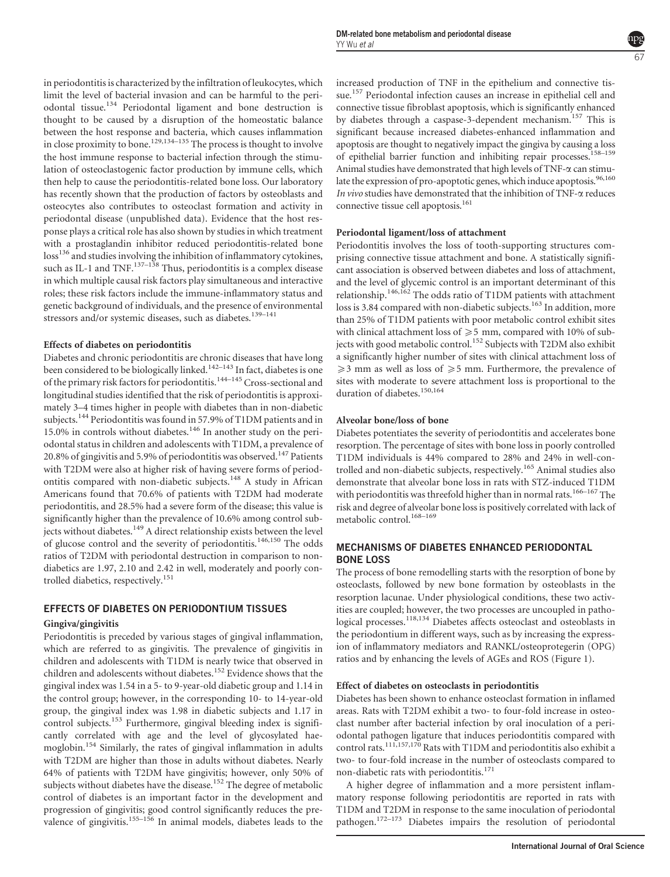in periodontitis is characterized by the infiltration of leukocytes, which limit the level of bacterial invasion and can be harmful to the periodontal tissue.<sup>134</sup> Periodontal ligament and bone destruction is thought to be caused by a disruption of the homeostatic balance between the host response and bacteria, which causes inflammation in close proximity to bone.129,134–135 The process is thought to involve the host immune response to bacterial infection through the stimulation of osteoclastogenic factor production by immune cells, which then help to cause the periodontitis-related bone loss. Our laboratory has recently shown that the production of factors by osteoblasts and osteocytes also contributes to osteoclast formation and activity in periodontal disease (unpublished data). Evidence that the host response plays a critical role has also shown by studies in which treatment with a prostaglandin inhibitor reduced periodontitis-related bone loss<sup>136</sup> and studies involving the inhibition of inflammatory cytokines, such as IL-1 and TNF.<sup>137–138</sup> Thus, periodontitis is a complex disease in which multiple causal risk factors play simultaneous and interactive roles; these risk factors include the immune-inflammatory status and genetic background of individuals, and the presence of environmental stressors and/or systemic diseases, such as diabetes.<sup>139-141</sup>

#### Effects of diabetes on periodontitis

Diabetes and chronic periodontitis are chronic diseases that have long been considered to be biologically linked.<sup>142–143</sup> In fact, diabetes is one of the primary risk factors for periodontitis.<sup>144–145</sup> Cross-sectional and longitudinal studies identified that the risk of periodontitis is approximately 3–4 times higher in people with diabetes than in non-diabetic subjects.<sup>144</sup> Periodontitis was found in 57.9% of T1DM patients and in 15.0% in controls without diabetes.<sup>146</sup> In another study on the periodontal status in children and adolescents with T1DM, a prevalence of 20.8% of gingivitis and 5.9% of periodontitis was observed.<sup>147</sup> Patients with T2DM were also at higher risk of having severe forms of periodontitis compared with non-diabetic subjects.<sup>148</sup> A study in African Americans found that 70.6% of patients with T2DM had moderate periodontitis, and 28.5% had a severe form of the disease; this value is significantly higher than the prevalence of 10.6% among control subjects without diabetes.<sup>149</sup> A direct relationship exists between the level of glucose control and the severity of periodontitis.<sup>146,150</sup> The odds ratios of T2DM with periodontal destruction in comparison to nondiabetics are 1.97, 2.10 and 2.42 in well, moderately and poorly controlled diabetics, respectively.<sup>151</sup>

#### EFFECTS OF DIABETES ON PERIODONTIUM TISSUES

#### Gingiva/gingivitis

Periodontitis is preceded by various stages of gingival inflammation, which are referred to as gingivitis. The prevalence of gingivitis in children and adolescents with T1DM is nearly twice that observed in children and adolescents without diabetes.<sup>152</sup> Evidence shows that the gingival index was 1.54 in a 5- to 9-year-old diabetic group and 1.14 in the control group; however, in the corresponding 10- to 14-year-old group, the gingival index was 1.98 in diabetic subjects and 1.17 in control subjects.<sup>153</sup> Furthermore, gingival bleeding index is significantly correlated with age and the level of glycosylated haemoglobin.<sup>154</sup> Similarly, the rates of gingival inflammation in adults with T2DM are higher than those in adults without diabetes. Nearly 64% of patients with T2DM have gingivitis; however, only 50% of subjects without diabetes have the disease.<sup>152</sup> The degree of metabolic control of diabetes is an important factor in the development and progression of gingivitis; good control significantly reduces the prevalence of gingivitis.<sup>155–156</sup> In animal models, diabetes leads to the increased production of TNF in the epithelium and connective tissue.<sup>157</sup> Periodontal infection causes an increase in epithelial cell and connective tissue fibroblast apoptosis, which is significantly enhanced by diabetes through a caspase-3-dependent mechanism.<sup>157</sup> This is significant because increased diabetes-enhanced inflammation and apoptosis are thought to negatively impact the gingiva by causing a loss of epithelial barrier function and inhibiting repair processes.<sup>158–159</sup> Animal studies have demonstrated that high levels of TNF- $\alpha$  can stimulate the expression of pro-apoptotic genes, which induce apoptosis.<sup>96,160</sup> In vivo studies have demonstrated that the inhibition of TNF- $\alpha$  reduces connective tissue cell apoptosis.<sup>161</sup>

#### Periodontal ligament/loss of attachment

Periodontitis involves the loss of tooth-supporting structures comprising connective tissue attachment and bone. A statistically significant association is observed between diabetes and loss of attachment, and the level of glycemic control is an important determinant of this relationship.<sup>146,162</sup> The odds ratio of T1DM patients with attachment loss is 3.84 compared with non-diabetic subjects.<sup>163</sup> In addition, more than 25% of T1DM patients with poor metabolic control exhibit sites with clinical attachment loss of  $\geq 5$  mm, compared with 10% of subjects with good metabolic control.<sup>152</sup> Subjects with T2DM also exhibit a significantly higher number of sites with clinical attachment loss of  $\geq$ 3 mm as well as loss of  $\geq$ 5 mm. Furthermore, the prevalence of sites with moderate to severe attachment loss is proportional to the duration of diabetes.<sup>150,164</sup>

#### Alveolar bone/loss of bone

Diabetes potentiates the severity of periodontitis and accelerates bone resorption. The percentage of sites with bone loss in poorly controlled T1DM individuals is 44% compared to 28% and 24% in well-controlled and non-diabetic subjects, respectively.<sup>165</sup> Animal studies also demonstrate that alveolar bone loss in rats with STZ-induced T1DM with periodontitis was threefold higher than in normal rats.<sup>166–167</sup> The risk and degree of alveolar bone loss is positively correlated with lack of metabolic control.<sup>168-169</sup>

#### MECHANISMS OF DIABETES ENHANCED PERIODONTAL BONE LOSS

The process of bone remodelling starts with the resorption of bone by osteoclasts, followed by new bone formation by osteoblasts in the resorption lacunae. Under physiological conditions, these two activities are coupled; however, the two processes are uncoupled in pathological processes.<sup>118,134</sup> Diabetes affects osteoclast and osteoblasts in the periodontium in different ways, such as by increasing the expression of inflammatory mediators and RANKL/osteoprotegerin (OPG) ratios and by enhancing the levels of AGEs and ROS (Figure 1).

#### Effect of diabetes on osteoclasts in periodontitis

Diabetes has been shown to enhance osteoclast formation in inflamed areas. Rats with T2DM exhibit a two- to four-fold increase in osteoclast number after bacterial infection by oral inoculation of a periodontal pathogen ligature that induces periodontitis compared with control rats.<sup>111,157,170</sup> Rats with T1DM and periodontitis also exhibit a two- to four-fold increase in the number of osteoclasts compared to non-diabetic rats with periodontitis.<sup>171</sup>

A higher degree of inflammation and a more persistent inflammatory response following periodontitis are reported in rats with T1DM and T2DM in response to the same inoculation of periodontal pathogen.172–173 Diabetes impairs the resolution of periodontal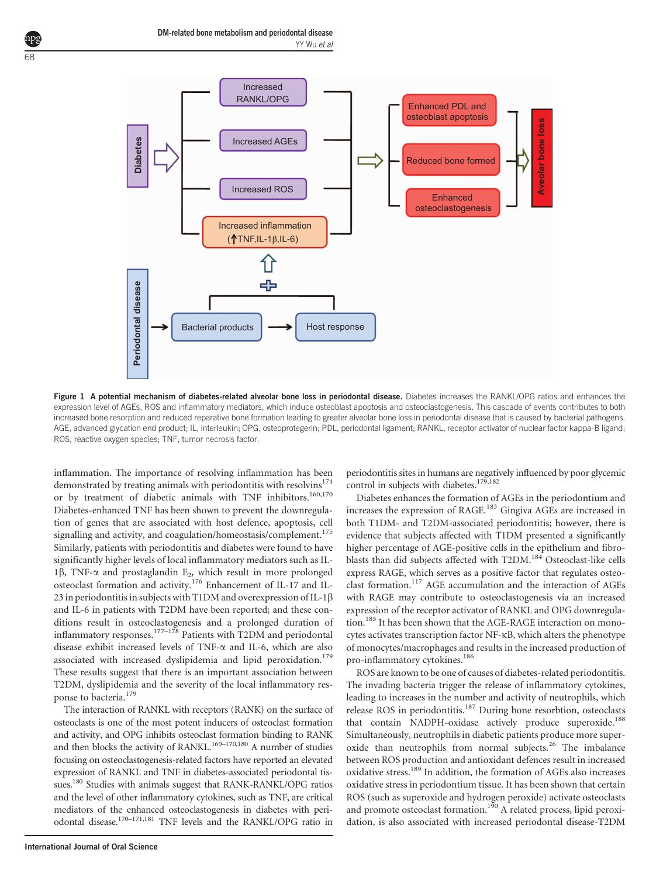

Figure 1 A potential mechanism of diabetes-related alveolar bone loss in periodontal disease. Diabetes increases the RANKL/OPG ratios and enhances the expression level of AGEs, ROS and inflammatory mediators, which induce osteoblast apoptosis and osteoclastogenesis. This cascade of events contributes to both increased bone resorption and reduced reparative bone formation leading to greater alveolar bone loss in periodontal disease that is caused by bacterial pathogens. AGE, advanced glycation end product; IL, interleukin; OPG, osteoprotegerin; PDL, periodontal ligament; RANKL, receptor activator of nuclear factor kappa-B ligand; ROS, reactive oxygen species; TNF, tumor necrosis factor.

inflammation. The importance of resolving inflammation has been demonstrated by treating animals with periodontitis with resolvins $174$ or by treatment of diabetic animals with TNF inhibitors.<sup>160,170</sup> Diabetes-enhanced TNF has been shown to prevent the downregulation of genes that are associated with host defence, apoptosis, cell signalling and activity, and coagulation/homeostasis/complement.<sup>175</sup> Similarly, patients with periodontitis and diabetes were found to have significantly higher levels of local inflammatory mediators such as IL-1 $\beta$ , TNF- $\alpha$  and prostaglandin E<sub>2</sub>, which result in more prolonged osteoclast formation and activity.<sup>176</sup> Enhancement of IL-17 and IL-23 in periodontitis in subjects with T1DM and overexpression of IL-1 $\beta$ and IL-6 in patients with T2DM have been reported; and these conditions result in osteoclastogenesis and a prolonged duration of inflammatory responses.<sup>177–178</sup> Patients with T2DM and periodontal disease exhibit increased levels of TNF- $\alpha$  and IL-6, which are also associated with increased dyslipidemia and lipid peroxidation.<sup>179</sup> These results suggest that there is an important association between T2DM, dyslipidemia and the severity of the local inflammatory response to bacteria.<sup>179</sup>

The interaction of RANKL with receptors (RANK) on the surface of osteoclasts is one of the most potent inducers of osteoclast formation and activity, and OPG inhibits osteoclast formation binding to RANK and then blocks the activity of RANKL.<sup>169–170,180</sup> A number of studies focusing on osteoclastogenesis-related factors have reported an elevated expression of RANKL and TNF in diabetes-associated periodontal tissues.<sup>180</sup> Studies with animals suggest that RANK-RANKL/OPG ratios and the level of other inflammatory cytokines, such as TNF, are critical mediators of the enhanced osteoclastogenesis in diabetes with periodontal disease.<sup>170-171,181</sup> TNF levels and the RANKL/OPG ratio in

International Journal of Oral Science

periodontitis sites in humans are negatively influenced by poor glycemic control in subjects with diabetes.<sup>179,182</sup>

Diabetes enhances the formation of AGEs in the periodontium and increases the expression of RAGE.<sup>183</sup> Gingiva AGEs are increased in both T1DM- and T2DM-associated periodontitis; however, there is evidence that subjects affected with T1DM presented a significantly higher percentage of AGE-positive cells in the epithelium and fibroblasts than did subjects affected with T2DM.<sup>184</sup> Osteoclast-like cells express RAGE, which serves as a positive factor that regulates osteoclast formation.<sup>117</sup> AGE accumulation and the interaction of AGEs with RAGE may contribute to osteoclastogenesis via an increased expression of the receptor activator of RANKL and OPG downregulation.<sup>185</sup> It has been shown that the AGE-RAGE interaction on monocytes activates transcription factor NF-kB, which alters the phenotype of monocytes/macrophages and results in the increased production of pro-inflammatory cytokines.<sup>186</sup>

ROS are known to be one of causes of diabetes-related periodontitis. The invading bacteria trigger the release of inflammatory cytokines, leading to increases in the number and activity of neutrophils, which release ROS in periodontitis.<sup>187</sup> During bone resorbtion, osteoclasts that contain NADPH-oxidase actively produce superoxide.<sup>188</sup> Simultaneously, neutrophils in diabetic patients produce more superoxide than neutrophils from normal subjects.<sup>26</sup> The imbalance between ROS production and antioxidant defences result in increased oxidative stress.<sup>189</sup> In addition, the formation of AGEs also increases oxidative stress in periodontium tissue. It has been shown that certain ROS (such as superoxide and hydrogen peroxide) activate osteoclasts and promote osteoclast formation.<sup>190</sup> A related process, lipid peroxidation, is also associated with increased periodontal disease-T2DM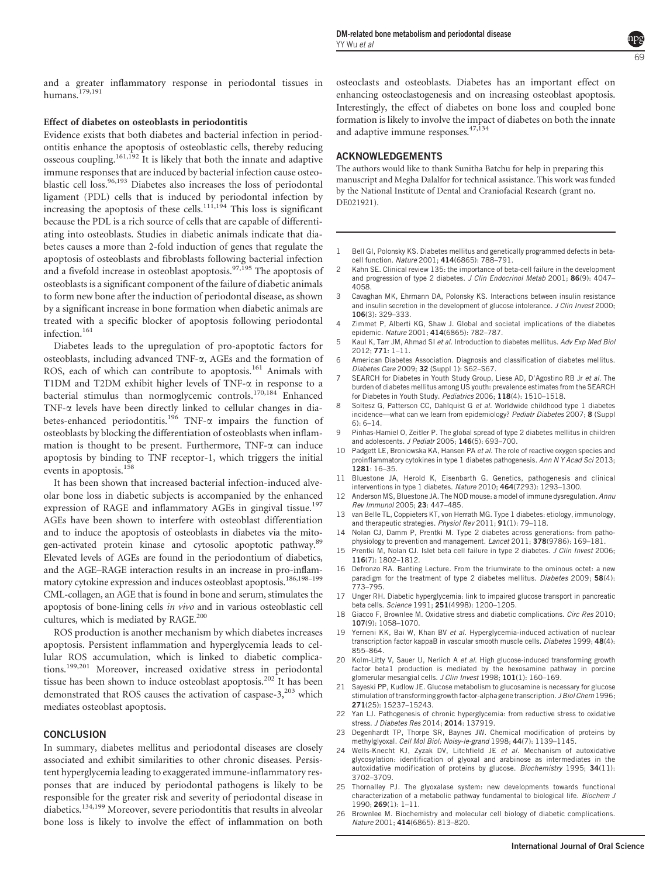and a greater inflammatory response in periodontal tissues in humans.<sup>179,191</sup>

#### Effect of diabetes on osteoblasts in periodontitis

Evidence exists that both diabetes and bacterial infection in periodontitis enhance the apoptosis of osteoblastic cells, thereby reducing osseous coupling.<sup>161,192</sup> It is likely that both the innate and adaptive immune responses that are induced by bacterial infection cause osteoblastic cell loss.<sup>96,193</sup> Diabetes also increases the loss of periodontal ligament (PDL) cells that is induced by periodontal infection by increasing the apoptosis of these cells.<sup>111,194</sup> This loss is significant because the PDL is a rich source of cells that are capable of differentiating into osteoblasts. Studies in diabetic animals indicate that diabetes causes a more than 2-fold induction of genes that regulate the apoptosis of osteoblasts and fibroblasts following bacterial infection and a fivefold increase in osteoblast apoptosis.<sup>97,195</sup> The apoptosis of osteoblasts is a significant component of the failure of diabetic animals to form new bone after the induction of periodontal disease, as shown by a significant increase in bone formation when diabetic animals are treated with a specific blocker of apoptosis following periodontal infection.<sup>161</sup>

Diabetes leads to the upregulation of pro-apoptotic factors for osteoblasts, including advanced TNF- $\alpha$ , AGEs and the formation of ROS, each of which can contribute to apoptosis.<sup>161</sup> Animals with T1DM and T2DM exhibit higher levels of TNF- $\alpha$  in response to a bacterial stimulus than normoglycemic controls.<sup>170,184</sup> Enhanced TNF-a levels have been directly linked to cellular changes in diabetes-enhanced periodontitis.<sup>196</sup> TNF- $\alpha$  impairs the function of osteoblasts by blocking the differentiation of osteoblasts when inflammation is thought to be present. Furthermore, TNF- $\alpha$  can induce apoptosis by binding to TNF receptor-1, which triggers the initial events in apoptosis.<sup>158</sup>

It has been shown that increased bacterial infection-induced alveolar bone loss in diabetic subjects is accompanied by the enhanced expression of RAGE and inflammatory AGEs in gingival tissue.<sup>197</sup> AGEs have been shown to interfere with osteoblast differentiation and to induce the apoptosis of osteoblasts in diabetes via the mitogen-activated protein kinase and cytosolic apoptotic pathway.<sup>89</sup> Elevated levels of AGEs are found in the periodontium of diabetics, and the AGE–RAGE interaction results in an increase in pro-inflammatory cytokine expression and induces osteoblast apoptosis.<sup>186,198-199</sup> CML-collagen, an AGE that is found in bone and serum, stimulates the apoptosis of bone-lining cells in vivo and in various osteoblastic cell cultures, which is mediated by RAGE.<sup>200</sup>

ROS production is another mechanism by which diabetes increases apoptosis. Persistent inflammation and hyperglycemia leads to cellular ROS accumulation, which is linked to diabetic complications.199,201 Moreover, increased oxidative stress in periodontal tissue has been shown to induce osteoblast apoptosis.<sup>202</sup> It has been demonstrated that ROS causes the activation of caspase-3,<sup>203</sup> which mediates osteoblast apoptosis.

#### **CONCLUSION**

In summary, diabetes mellitus and periodontal diseases are closely associated and exhibit similarities to other chronic diseases. Persistent hyperglycemia leading to exaggerated immune-inflammatory responses that are induced by periodontal pathogens is likely to be responsible for the greater risk and severity of periodontal disease in diabetics.134,199 Moreover, severe periodontitis that results in alveolar bone loss is likely to involve the effect of inflammation on both osteoclasts and osteoblasts. Diabetes has an important effect on enhancing osteoclastogenesis and on increasing osteoblast apoptosis. Interestingly, the effect of diabetes on bone loss and coupled bone formation is likely to involve the impact of diabetes on both the innate and adaptive immune responses.<sup>47,134</sup>

#### ACKNOWLEDGEMENTS

The authors would like to thank Sunitha Batchu for help in preparing this manuscript and Megha Dalalfor for technical assistance. This work was funded by the National Institute of Dental and Craniofacial Research (grant no. DE021921).

- Bell GI, Polonsky KS. Diabetes mellitus and genetically programmed defects in betacell function. Nature 2001; 414(6865): 788–791.
- 2 Kahn SE. Clinical review 135: the importance of beta-cell failure in the development and progression of type 2 diabetes. J Clin Endocrinol Metab 2001; 86(9): 4047-4058.
- 3 Cavaghan MK, Ehrmann DA, Polonsky KS. Interactions between insulin resistance and insulin secretion in the development of glucose intolerance. J Clin Invest 2000: 106(3): 329–333.
- 4 Zimmet P, Alberti KG, Shaw J. Global and societal implications of the diabetes epidemic. Nature 2001; 414(6865): 782–787.
- 5 Kaul K, Tarr JM, Ahmad SI et al. Introduction to diabetes mellitus. Adv Exp Med Biol 2012; 771: 1–11.
- 6 American Diabetes Association. Diagnosis and classification of diabetes mellitus. Diabetes Care 2009; 32 (Suppl 1): S62–S67.
- SEARCH for Diabetes in Youth Study Group, Liese AD, D'Agostino RB Jr et al. The burden of diabetes mellitus among US youth: prevalence estimates from the SEARCH for Diabetes in Youth Study. Pediatrics 2006; 118(4): 1510–1518.
- 8 Soltesz G, Patterson CC, Dahlquist G et al. Worldwide childhood type 1 diabetes incidence—what can we learn from epidemiology? Pediatr Diabetes 2007; 8 (Suppl 6): 6–14.
- 9 Pinhas-Hamiel O, Zeitler P. The global spread of type 2 diabetes mellitus in children and adolescents. J Pediatr 2005; 146(5): 693–700.
- 10 Padgett LE, Broniowska KA, Hansen PA et al. The role of reactive oxygen species and proinflammatory cytokines in type 1 diabetes pathogenesis. Ann N Y Acad Sci 2013; 1281: 16–35.
- 11 Bluestone JA, Herold K, Eisenbarth G. Genetics, pathogenesis and clinical interventions in type 1 diabetes. Nature 2010; 464(7293): 1293–1300.
- 12 Anderson MS, Bluestone JA. The NOD mouse: a model of immune dysregulation. Annu Rev Immunol 2005; 23: 447–485.
- 13 van Belle TL, Coppieters KT, von Herrath MG. Type 1 diabetes: etiology, immunology, and therapeutic strategies. Physiol Rev 2011; 91(1): 79–118.
- 14 Nolan CJ, Damm P, Prentki M. Type 2 diabetes across generations: from pathophysiology to prevention and management. Lancet 2011; 378(9786): 169–181.
- 15 Prentki M, Nolan CJ. Islet beta cell failure in type 2 diabetes. J Clin Invest 2006; 116(7): 1802–1812.
- 16 Defronzo RA. Banting Lecture. From the triumvirate to the ominous octet: a new paradigm for the treatment of type 2 diabetes mellitus. Diabetes 2009; 58(4): 773–795.
- 17 Unger RH. Diabetic hyperglycemia: link to impaired glucose transport in pancreatic beta cells. Science 1991; 251(4998): 1200–1205.
- 18 Giacco F, Brownlee M. Oxidative stress and diabetic complications. Circ Res 2010; 107(9): 1058–1070.
- 19 Yerneni KK, Bai W, Khan BV et al. Hyperglycemia-induced activation of nuclear transcription factor kappaB in vascular smooth muscle cells. Diabetes 1999; 48(4): 855–864.
- 20 Kolm-Litty V, Sauer U, Nerlich A et al. High glucose-induced transforming growth factor beta1 production is mediated by the hexosamine pathway in porcine glomerular mesangial cells. J Clin Invest 1998; 101(1): 160–169.
- 21 Sayeski PP, Kudlow JE. Glucose metabolism to glucosamine is necessary for glucose stimulation of transforming growth factor-alpha gene transcription. J Biol Chem 1996; 271(25): 15237–15243.
- 22 Yan LJ. Pathogenesis of chronic hyperglycemia: from reductive stress to oxidative stress. J Diabetes Res 2014; 2014: 137919.
- 23 Degenhardt TP, Thorpe SR, Baynes JW. Chemical modification of proteins by methylglyoxal. Cell Mol Biol: Noisy-le-grand 1998; 44(7): 1139–1145.
- 24 Wells-Knecht KJ, Zyzak DV, Litchfield JE et al. Mechanism of autoxidative glycosylation: identification of glyoxal and arabinose as intermediates in the autoxidative modification of proteins by glucose. Biochemistry 1995; 34(11): 3702–3709.
- 25 Thornalley PJ. The glyoxalase system: new developments towards functional characterization of a metabolic pathway fundamental to biological life. Biochem J 1990; 269(1): 1–11.
- 26 Brownlee M. Biochemistry and molecular cell biology of diabetic complications. Nature 2001; 414(6865): 813–820.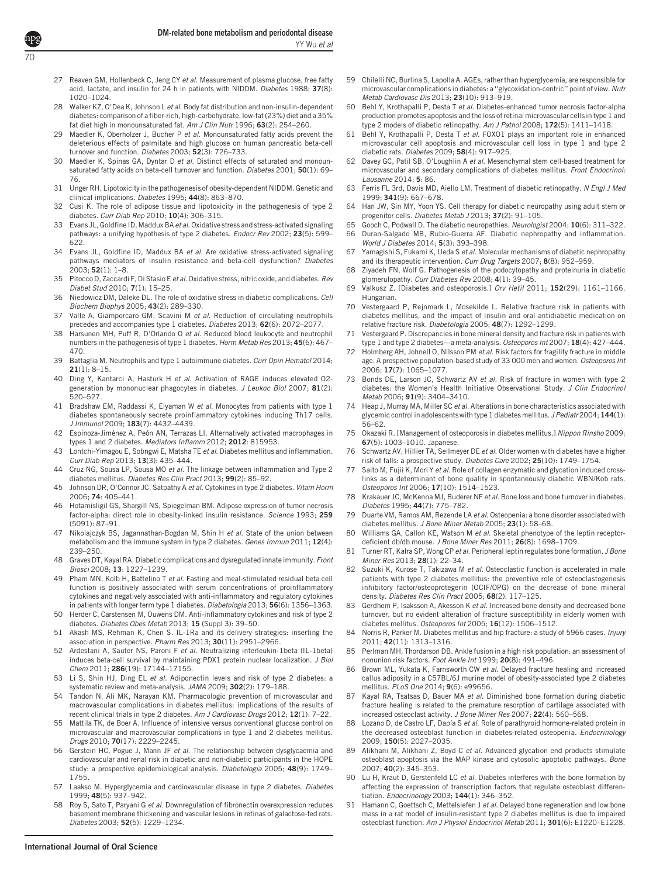- 27 Reaven GM, Hollenbeck C, Jeng CY et al. Measurement of plasma glucose, free fatty acid, lactate, and insulin for 24 h in patients with NIDDM. Diabetes 1988: 37(8): 1020–1024.
- 28 Walker KZ, O'Dea K, Johnson L et al. Body fat distribution and non-insulin-dependent diabetes: comparison of a fiber-rich, high-carbohydrate, low-fat (23%) diet and a 35% fat diet high in monounsaturated fat. Am J Clin Nutr 1996; 63(2): 254–260.
- Maedler K, Oberholzer J, Bucher P et al. Monounsaturated fatty acids prevent the deleterious effects of palmitate and high glucose on human pancreatic beta-cell turnover and function. Diabetes 2003; 52(3): 726-733.
- 30 Maedler K, Spinas GA, Dyntar D et al. Distinct effects of saturated and monounsaturated fatty acids on beta-cell turnover and function. Diabetes 2001; 50(1): 69-76.
- 31 Unger RH. Lipotoxicity in the pathogenesis of obesity-dependent NIDDM. Genetic and clinical implications. Diabetes 1995; 44(8): 863–870.
- 32 Cusi K. The role of adipose tissue and lipotoxicity in the pathogenesis of type 2 diabetes. Curr Diab Rep 2010; 10(4): 306-315.
- 33 Evans JL, Goldfine ID, Maddux BA et al. Oxidative stress and stress-activated signaling pathways: a unifying hypothesis of type 2 diabetes. Endocr Rev 2002; 23(5): 599-622.
- 34 Evans JL, Goldfine ID, Maddux BA et al. Are oxidative stress-activated signaling pathways mediators of insulin resistance and beta-cell dysfunction? Diabetes 2003; 52(1): 1–8.
- 35 Pitocco D, Zaccardi F, Di Stasio E et al. Oxidative stress, nitric oxide, and diabetes. Rev Diabet Stud 2010; 7(1): 15–25.
- 36 Niedowicz DM, Daleke DL. The role of oxidative stress in diabetic complications. Cell Biochem Biophys 2005; 43(2): 289–330.
- 37 Valle A, Giamporcaro GM, Scavini M et al. Reduction of circulating neutrophils precedes and accompanies type 1 diabetes. Diabetes 2013; 62(6): 2072–2077.
- 38 Harsunen MH, Puff R, D'Orlando O et al. Reduced blood leukocyte and neutrophil numbers in the pathogenesis of type 1 diabetes. Horm Metab Res 2013; 45(6): 467– 470.
- 39 Battaglia M. Neutrophils and type 1 autoimmune diabetes. Curr Opin Hematol 2014; 21(1): 8–15.
- 40 Ding Y, Kantarci A, Hasturk H et al. Activation of RAGE induces elevated O2generation by mononuclear phagocytes in diabetes. J Leukoc Biol 2007; 81(2): 520–527.
- 41 Bradshaw EM, Raddassi K, Elyaman W et al. Monocytes from patients with type 1 diabetes spontaneously secrete proinflammatory cytokines inducing Th17 cells. J Immunol 2009; 183(7): 4432–4439.
- 42 Espinoza-Jiménez A, Peón AN, Terrazas LI, Alternatively activated macrophages in types 1 and 2 diabetes. Mediators Inflamm 2012; 2012: 815953.
- 43 Lontchi-Yimagou E, Sobngwi E, Matsha TE et al. Diabetes mellitus and inflammation. Curr Diab Rep 2013; 13(3): 435–444.
- 44 Cruz NG, Sousa LP, Sousa MO et al. The linkage between inflammation and Type 2 diabetes mellitus. Diabetes Res Clin Pract 2013; 99(2): 85-92.
- 45 Johnson DR, O'Connor JC, Satpathy A et al. Cytokines in type 2 diabetes. Vitam Horm 2006; 74: 405–441.
- 46 Hotamisligil GS, Shargill NS, Spiegelman BM. Adipose expression of tumor necrosis factor-alpha: direct role in obesity-linked insulin resistance. Science 1993; 259 (5091): 87–91.
- 47 Nikolajczyk BS, Jagannathan-Bogdan M, Shin H et al. State of the union between metabolism and the immune system in type 2 diabetes. Genes Immun 2011; 12(4): 239–250.
- 48 Graves DT, Kayal RA. Diabetic complications and dysregulated innate immunity. Front Biosci 2008; 13: 1227–1239.
- 49 Pham MN, Kolb H, Battelino T et al. Fasting and meal-stimulated residual beta cell function is positively associated with serum concentrations of proinflammatory cytokines and negatively associated with anti-inflammatory and regulatory cytokines in patients with longer term type 1 diabetes. Diabetologia 2013; 56(6): 1356–1363.
- 50 Herder C, Carstensen M, Ouwens DM. Anti-inflammatory cytokines and risk of type 2 diabetes. Diabetes Obes Metab 2013; 15 (Suppl 3): 39–50.
- 51 Akash MS, Rehman K, Chen S. IL-1Ra and its delivery strategies: inserting the association in perspective. Pharm Res 2013; 30(11): 2951-2966.
- 52 Ardestani A, Sauter NS, Paroni F et al. Neutralizing interleukin-1beta (IL-1beta) induces beta-cell survival by maintaining PDX1 protein nuclear localization. J Biol Chem 2011; 286(19): 17144–17155.
- 53 Li S, Shin HJ, Ding EL et al. Adiponectin levels and risk of type 2 diabetes: a systematic review and meta-analysis. JAMA 2009; 302(2): 179–188.
- 54 Tandon N, Ali MK, Narayan KM. Pharmacologic prevention of microvascular and macrovascular complications in diabetes mellitus: implications of the results of recent clinical trials in type 2 diabetes. Am J Cardiovasc Drugs 2012; 12(1): 7–22.
- 55 Mattila TK, de Boer A. Influence of intensive versus conventional glucose control on microvascular and macrovascular complications in type 1 and 2 diabetes mellitus. Drugs 2010; 70(17): 2229–2245.
- 56 Gerstein HC, Pogue J, Mann JF et al. The relationship between dysglycaemia and cardiovascular and renal risk in diabetic and non-diabetic participants in the HOPE study: a prospective epidemiological analysis. Diabetologia 2005; 48(9): 1749-1755.
- 57 Laakso M. Hyperglycemia and cardiovascular disease in type 2 diabetes. Diabetes 1999; 48(5): 937–942.
- 58 Roy S, Sato T, Paryani G et al. Downregulation of fibronectin overexpression reduces basement membrane thickening and vascular lesions in retinas of galactose-fed rats. Diabetes 2003; 52(5): 1229–1234.
- 59 Chilelli NC, Burlina S, Lapolla A. AGEs, rather than hyperglycemia, are responsible for microvascular complications in diabetes: a ''glycoxidation-centric'' point of view. Nutr Metab Cardiovasc Dis 2013; 23(10): 913–919.
- 60 Behl Y, Krothapalli P, Desta T et al. Diabetes-enhanced tumor necrosis factor-alpha production promotes apoptosis and the loss of retinal microvascular cells in type 1 and type 2 models of diabetic retinopathy. Am J Pathol 2008; 172(5): 1411–1418.
- 61 Behl Y, Krothapalli P, Desta T et al. FOXO1 plays an important role in enhanced microvascular cell apoptosis and microvascular cell loss in type 1 and type 2 diabetic rats. Diabetes 2009; 58(4): 917–925.
- 62 Davey GC, Patil SB, O'Loughlin A et al. Mesenchymal stem cell-based treatment for microvascular and secondary complications of diabetes mellitus. Front Endocrinol: Lausanne 2014; 5: 86.
- 63 Ferris FL 3rd, Davis MD, Aiello LM. Treatment of diabetic retinopathy. N Engl J Med 1999; 341(9): 667–678.
- 64 Han JW, Sin MY, Yoon YS. Cell therapy for diabetic neuropathy using adult stem or progenitor cells. Diabetes Metab J 2013; 37(2): 91-105
- 65 Gooch C, Podwall D. The diabetic neuropathies. Neurologist 2004; 10(6): 311–322. 66 Duran-Salgado MB, Rubio-Guerra AF. Diabetic nephropathy and inflammation. World J Diabetes 2014; 5(3): 393–398.
- 67 Yamagishi S, Fukami K, Ueda S et al. Molecular mechanisms of diabetic nephropathy and its therapeutic intervention. Curr Drug Targets 2007; 8(8): 952-959.
- 68 Ziyadeh FN, Wolf G. Pathogenesis of the podocytopathy and proteinuria in diabetic glomerulopathy. Curr Diabetes Rev 2008; 4(1): 39–45.
- 69 Valkusz Z. [Diabetes and osteoporosis.] Orv Hetil 2011; 152(29): 1161–1166. Hungarian.
- 70 Vestergaard P, Rejnmark L, Mosekilde L. Relative fracture risk in patients with diabetes mellitus, and the impact of insulin and oral antidiabetic medication on relative fracture risk. Diabetologia 2005; 48(7): 1292–1299.
- 71 Vestergaard P. Discrepancies in bone mineral density and fracture risk in patients with type 1 and type 2 diabetes—a meta-analysis. Osteoporos Int 2007; 18(4): 427-444.
- 72 Holmberg AH, Johnell O, Nilsson PM et al. Risk factors for fragility fracture in middle age. A prospective population-based study of 33 000 men and women. Osteoporos Int 2006; 17(7): 1065–1077.
- Bonds DE, Larson JC, Schwartz AV et al. Risk of fracture in women with type 2 diabetes: the Women's Health Initiative Observational Study. J Clin Endocrinol Metab 2006; 91(9): 3404–3410.
- Heap J, Murray MA, Miller SC et al. Alterations in bone characteristics associated with glycemic control in adolescents with type 1 diabetes mellitus. J Pediatr 2004; 144(1): 56–62.
- 75 Okazaki R. [Management of osteoporosis in diabetes mellitus.] Nippon Rinsho 2009; 67(5): 1003–1010. Japanese.
- 76 Schwartz AV, Hillier TA, Sellmeyer DE et al. Older women with diabetes have a higher risk of falls: a prospective study. Diabetes Care 2002; 25(10): 1749–1754.
- 77 Saito M, Fujii K, Mori Y et al. Role of collagen enzymatic and glycation induced crosslinks as a determinant of bone quality in spontaneously diabetic WBN/Kob rats. Osteoporos Int 2006; 17(10): 1514–1523.
- 78 Krakauer JC, McKenna MJ, Buderer NF et al. Bone loss and bone turnover in diabetes. Diabetes 1995; 44(7): 775–782.
- 79 Duarte VM, Ramos AM, Rezende LA et al. Osteopenia: a bone disorder associated with diabetes mellitus. J Bone Miner Metab 2005: 23(1): 58-68.
- 80 Williams GA, Callon KE, Watson M et al. Skeletal phenotype of the leptin receptordeficient db/db mouse. J Bone Miner Res 2011; 26(8): 1698–1709.
- 81 Turner RT, Kalra SP, Wong CP et al. Peripheral leptin regulates bone formation. J Bone Miner Res 2013; 28(1): 22–34.
- 82 Suzuki K, Kurose T, Takizawa M et al. Osteoclastic function is accelerated in male patients with type 2 diabetes mellitus: the preventive role of osteoclastogenesis inhibitory factor/osteoprotegerin (OCIF/OPG) on the decrease of bone mineral density. Diabetes Res Clin Pract 2005; 68(2): 117–125.
- 83 Gerdhem P, Isaksson A, Akesson K et al. Increased bone density and decreased bone turnover, but no evident alteration of fracture susceptibility in elderly women with diabetes mellitus. Osteoporos Int 2005; 16(12): 1506-1512.
- 84 Norris R, Parker M. Diabetes mellitus and hip fracture: a study of 5966 cases. Injury 2011; 42(11): 1313–1316.
- 85 Perlman MH, Thordarson DB. Ankle fusion in a high risk population: an assessment of nonunion risk factors. Foot Ankle Int 1999; 20(8): 491–496.
- 86 Brown ML, Yukata K, Farnsworth CW et al. Delayed fracture healing and increased callus adiposity in a C57BL/6J murine model of obesity-associated type 2 diabetes mellitus. PLoS One 2014; 9(6): e99656.
- 87 Kayal RA, Tsatsas D, Bauer MA et al. Diminished bone formation during diabetic fracture healing is related to the premature resorption of cartilage associated with increased osteoclast activity. J Bone Miner Res 2007; 22(4): 560–568.
- 88 Lozano D, de Castro LF, Dapía S et al. Role of parathyroid hormone-related protein in the decreased osteoblast function in diabetes-related osteopenia. Endocrinology 2009; 150(5): 2027–2035.
- 89 Alikhani M, Alikhani Z, Boyd C et al. Advanced glycation end products stimulate osteoblast apoptosis via the MAP kinase and cytosolic apoptotic pathways. Bone 2007; 40(2): 345–353.
- 90 Lu H, Kraut D, Gerstenfeld LC et al. Diabetes interferes with the bone formation by affecting the expression of transcription factors that regulate osteoblast differentiation. Endocrinology 2003; 144(1): 346–352.
- 91 Hamann C, Goettsch C, Mettelsiefen J et al. Delayed bone regeneration and low bone mass in a rat model of insulin-resistant type 2 diabetes mellitus is due to impaired osteoblast function. Am J Physiol Endocrinol Metab 2011; 301(6): E1220-E1228.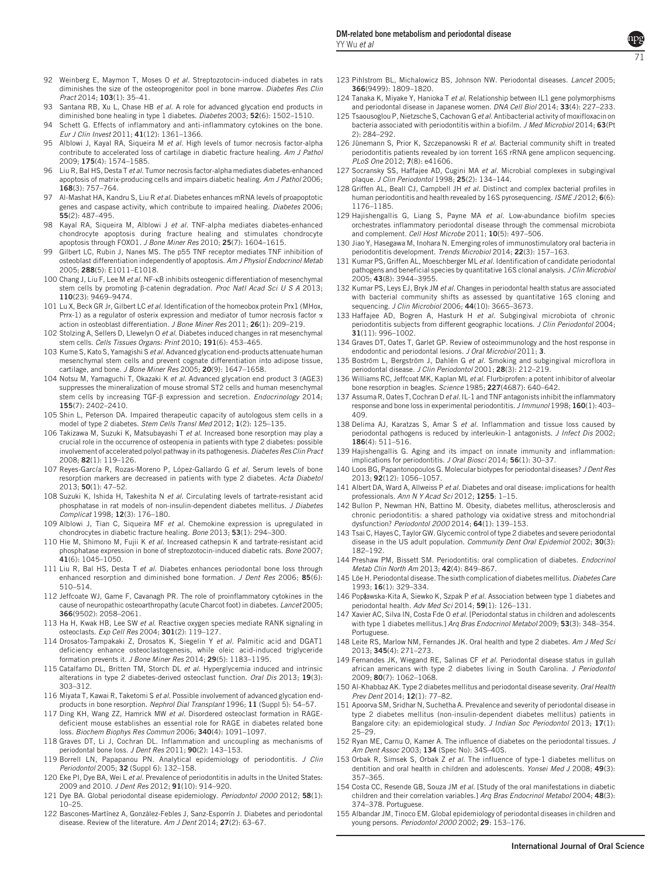- 92 Weinberg E, Maymon T, Moses O et al. Streptozotocin-induced diabetes in rats diminishes the size of the osteoprogenitor pool in bone marrow. Diabetes Res Clin Pract 2014; 103(1): 35–41.
- 93 Santana RB, Xu L, Chase HB et al. A role for advanced glycation end products in diminished bone healing in type 1 diabetes. Diabetes 2003; 52(6): 1502-1510.
- 94 Schett G. Effects of inflammatory and anti-inflammatory cytokines on the bone. Eur J Clin Invest 2011; 41(12): 1361–1366.
- 95 Alblowi J, Kayal RA, Siqueira M et al. High levels of tumor necrosis factor-alpha contribute to accelerated loss of cartilage in diabetic fracture healing. Am J Pathol 2009; 175(4): 1574–1585.
- 96 Liu R, Bal HS, Desta T et al. Tumor necrosis factor-alpha mediates diabetes-enhanced apoptosis of matrix-producing cells and impairs diabetic healing. Am J Pathol 2006; 168(3): 757–764.
- 97 Al-Mashat HA, Kandru S, Liu R et al. Diabetes enhances mRNA levels of proapoptotic genes and caspase activity, which contribute to impaired healing. Diabetes 2006; 55(2): 487–495.
- 98 Kayal RA, Siqueira M, Alblowi J et al. TNF-alpha mediates diabetes-enhanced chondrocyte apoptosis during fracture healing and stimulates chondrocyte apoptosis through FOXO1. J Bone Miner Res 2010; 25(7): 1604–1615.
- 99 Gilbert LC, Rubin J, Nanes MS. The p55 TNF receptor mediates TNF inhibition of osteoblast differentiation independently of apoptosis. Am J Physiol Endocrinol Metab 2005; 288(5): E1011–E1018.
- 100 Chang J, Liu F, Lee M et al. NF-KB inhibits osteogenic differentiation of mesenchymal stem cells by promoting ß-catenin degradation. Proc Natl Acad Sci U S A 2013; 110(23): 9469–9474.
- 101 Lu X, Beck GR Jr, Gilbert LC et al. Identification of the homeobox protein Prx1 (MHox, Prrx-1) as a regulator of osterix expression and mediator of tumor necrosis factor  $\alpha$ action in osteoblast differentiation. J Bone Miner Res 2011; 26(1): 209-219.
- 102 Stolzing A, Sellers D, Llewelyn O et al. Diabetes induced changes in rat mesenchymal stem cells. Cells Tissues Organs: Print 2010; 191(6): 453–465.
- 103 Kume S, Kato S, Yamagishi S et al. Advanced glycation end-products attenuate human mesenchymal stem cells and prevent cognate differentiation into adipose tissue, cartilage, and bone. J Bone Miner Res 2005; 20(9): 1647–1658.
- 104 Notsu M, Yamaguchi T, Okazaki K et al. Advanced glycation end product 3 (AGE3) suppresses the mineralization of mouse stromal ST2 cells and human mesenchymal stem cells by increasing TGF- $\beta$  expression and secretion. Endocrinology 2014; 155(7): 2402–2410.
- 105 Shin L, Peterson DA. Impaired therapeutic capacity of autologous stem cells in a model of type 2 diabetes. Stem Cells Transl Med 2012; 1(2): 125–135.
- 106 Takizawa M, Suzuki K, Matsubayashi T et al. Increased bone resorption may play a crucial role in the occurrence of osteopenia in patients with type 2 diabetes: possible involvement of accelerated polyol pathway in its pathogenesis. Diabetes Res Clin Pract 2008; 82(1): 119–126.
- 107 Reyes-García R, Rozas-Moreno P, López-Gallardo G et al. Serum levels of bone resorption markers are decreased in patients with type 2 diabetes. Acta Diabetol 2013; 50(1): 47–52.
- 108 Suzuki K, Ishida H, Takeshita N et al. Circulating levels of tartrate-resistant acid phosphatase in rat models of non-insulin-dependent diabetes mellitus. J Diabetes Complicat 1998; 12(3): 176-180.
- 109 Alblowi J, Tian C, Siqueira MF et al. Chemokine expression is upregulated in chondrocytes in diabetic fracture healing. Bone 2013; 53(1): 294–300.
- 110 Hie M, Shimono M, Fujii K et al. Increased cathepsin K and tartrate-resistant acid phosphatase expression in bone of streptozotocin-induced diabetic rats. Bone 2007; 41(6): 1045–1050.
- 111 Liu R, Bal HS, Desta T et al. Diabetes enhances periodontal bone loss through enhanced resorption and diminished bone formation. J Dent Res 2006; 85(6): 510–514.
- 112 Jeffcoate WJ, Game F, Cavanagh PR. The role of proinflammatory cytokines in the cause of neuropathic osteoarthropathy (acute Charcot foot) in diabetes. Lancet 2005; 366(9502): 2058–2061.
- 113 Ha H, Kwak HB, Lee SW et al. Reactive oxygen species mediate RANK signaling in osteoclasts. Exp Cell Res 2004; 301(2): 119–127.
- 114 Drosatos-Tampakaki Z, Drosatos K, Siegelin Y et al. Palmitic acid and DGAT1 deficiency enhance osteoclastogenesis, while oleic acid-induced triglyceride formation prevents it. J Bone Miner Res 2014; 29(5): 1183-1195.
- 115 Catalfamo DL, Britten TM, Storch DL et al. Hyperglycemia induced and intrinsic alterations in type 2 diabetes-derived osteoclast function. Oral Dis 2013; 19(3): 303–312.
- 116 Miyata T, Kawai R, Taketomi S et al. Possible involvement of advanced glycation endproducts in bone resorption. Nephrol Dial Transplant 1996; 11 (Suppl 5): 54-57.
- 117 Ding KH, Wang ZZ, Hamrick MW et al. Disordered osteoclast formation in RAGEdeficient mouse establishes an essential role for RAGE in diabetes related bone loss. Biochem Biophys Res Commun 2006; 340(4): 1091–1097.
- 118 Graves DT, Li J, Cochran DL. Inflammation and uncoupling as mechanisms of periodontal bone loss. J Dent Res 2011; 90(2): 143-153.
- 119 Borrell LN, Papapanou PN. Analytical epidemiology of periodontitis. J Clin Periodontol 2005; 32 (Suppl 6): 132–158.
- 120 Eke PI, Dye BA, Wei L et al. Prevalence of periodontitis in adults in the United States: 2009 and 2010. J Dent Res 2012; 91(10): 914–920.
- 121 Dye BA. Global periodontal disease epidemiology. Periodontol 2000 2012; 58(1):  $10 - 25$
- 122 Bascones-Martínez A, González-Febles J, Sanz-Esporrín J, Diabetes and periodontal disease. Review of the literature. Am J Dent 2014; 27(2): 63-67.
- 123 Pihlstrom BL, Michalowicz BS, Johnson NW. Periodontal diseases. Lancet 2005; 366(9499): 1809–1820.
- 124 Tanaka K, Miyake Y, Hanioka T et al. Relationship between IL1 gene polymorphisms and periodontal disease in Japanese women. DNA Cell Biol 2014; 33(4): 227–233.
- 125 Tsaousoglou P, Nietzsche S, Cachovan G et al. Antibacterial activity of moxifloxacin on bacteria associated with periodontitis within a biofilm. J Med Microbiol 2014; 63(Pt 2): 284–292.
- 126 Jünemann S, Prior K, Szczepanowski R et al. Bacterial community shift in treated periodontitis patients revealed by ion torrent 16S rRNA gene amplicon sequencing. PLoS One 2012; 7(8): e41606.
- 127 Socransky SS, Haffajee AD, Cugini MA et al. Microbial complexes in subgingival plaque. J Clin Periodontol 1998; 25(2): 134–144.
- 128 Griffen AL, Beall CJ, Campbell JH et al. Distinct and complex bacterial profiles in human periodontitis and health revealed by 16S pyrosequencing. ISME J2012; 6(6): 1176–1185.
- 129 Hajishengallis G, Liang S, Payne MA et al. Low-abundance biofilm species orchestrates inflammatory periodontal disease through the commensal microbiota and complement. Cell Host Microbe 2011; 10(5): 497–506.
- 130 Jiao Y, Hasegawa M, Inohara N. Emerging roles of immunostimulatory oral bacteria in periodontitis development. Trends Microbiol 2014; 22(3): 157–163.
- 131 Kumar PS, Griffen AL, Moeschberger ML et al. Identification of candidate periodontal pathogens and beneficial species by quantitative 16S clonal analysis. J Clin Microbiol 2005; 43(8): 3944–3955.
- 132 Kumar PS, Leys EJ, Bryk JM et al. Changes in periodontal health status are associated with bacterial community shifts as assessed by quantitative 16S cloning and sequencing. J Clin Microbiol 2006; 44(10): 3665–3673.
- 133 Haffajee AD, Bogren A, Hasturk H et al. Subgingival microbiota of chronic periodontitis subjects from different geographic locations. J Clin Periodontol 2004; 31(11): 996–1002.
- 134 Graves DT, Oates T, Garlet GP. Review of osteoimmunology and the host response in endodontic and periodontal lesions. J Oral Microbiol 2011; 3.
- 135 Boström L, Bergström J, Dahlén G et al. Smoking and subgingival microflora in periodontal disease. J Clin Periodontol 2001; 28(3): 212–219.
- 136 Williams RC, Jeffcoat MK, Kaplan ML et al. Flurbiprofen: a potent inhibitor of alveolar bone resorption in beagles. Science 1985; 227(4687): 640–642.
- 137 Assuma R, Oates T, Cochran D et al. IL-1 and TNF antagonists inhibit the inflammatory response and bone loss in experimental periodontitis. J Immunol 1998; 160(1): 403-409.
- 138 Delima AJ, Karatzas S, Amar S et al. Inflammation and tissue loss caused by periodontal pathogens is reduced by interleukin-1 antagonists. J Infect Dis 2002; 186(4): 511–516.
- 139 Hajishengallis G. Aging and its impact on innate immunity and inflammation: implications for periodontitis. J Oral Biosci 2014; 56(1): 30-37.
- 140 Loos BG, Papantonopoulos G. Molecular biotypes for periodontal diseases? J Dent Res 2013; 92(12): 1056–1057.
- 141 Albert DA, Ward A, Allweiss P et al. Diabetes and oral disease: implications for health professionals. Ann N Y Acad Sci 2012; 1255: 1–15.
- 142 Bullon P, Newman HN, Battino M. Obesity, diabetes mellitus, atherosclerosis and chronic periodontitis: a shared pathology via oxidative stress and mitochondrial dysfunction? Periodontol 2000 2014; 64(1): 139–153.
- 143 Tsai C, Hayes C, Taylor GW. Glycemic control of type 2 diabetes and severe periodontal disease in the US adult population. Community Dent Oral Epidemiol 2002; 30(3): 182–192.
- 144 Preshaw PM, Bissett SM. Periodontitis: oral complication of diabetes. Endocrinol Metab Clin North Am 2013; 42(4): 849–867.
- 145 Löe H. Periodontal disease. The sixth complication of diabetes mellitus. Diabetes Care 1993; 16(1): 329–334.
- 146 Popławska-Kita A, Siewko K, Szpak P et al. Association between type 1 diabetes and periodontal health. Adv Med Sci 2014; 59(1): 126–131.
- 147 Xavier AC, Silva IN, Costa Fde O et al. [Periodontal status in children and adolescents with type 1 diabetes mellitus.] Arq Bras Endocrinol Metabol 2009; 53(3): 348-354. Portuguese.
- 148 Leite RS, Marlow NM, Fernandes JK. Oral health and type 2 diabetes. Am J Med Sci 2013; 345(4): 271–273.
- 149 Fernandes JK, Wiegand RE, Salinas CF et al. Periodontal disease status in gullah african americans with type 2 diabetes living in South Carolina. J Periodontol 2009; 80(7): 1062–1068.
- 150 Al-Khabbaz AK. Type 2 diabetes mellitus and periodontal disease severity. Oral Health Prev Dent 2014; 12(1): 77-82.
- 151 Apoorva SM, Sridhar N, Suchetha A. Prevalence and severity of periodontal disease in type 2 diabetes mellitus (non-insulin-dependent diabetes mellitus) patients in Bangalore city: an epidemiological study. J Indian Soc Periodontol 2013; 17(1): 25–29.
- 152 Ryan ME, Carnu O, Kamer A. The influence of diabetes on the periodontal tissues. J Am Dent Assoc 2003; 134 (Spec No): 34S–40S.
- 153 Orbak R, Simsek S, Orbak Z et al. The influence of type-1 diabetes mellitus on dentition and oral health in children and adolescents. Yonsei Med J 2008; 49(3): 357–365.
- 154 Costa CC, Resende GB, Souza JM et al. [Study of the oral manifestations in diabetic children and their correlation variables.] Arg Bras Endocrinol Metabol 2004: 48(3): 374–378. Portuguese.
- 155 Albandar JM, Tinoco EM. Global epidemiology of periodontal diseases in children and young persons. Periodontol 2000 2002; 29: 153–176.